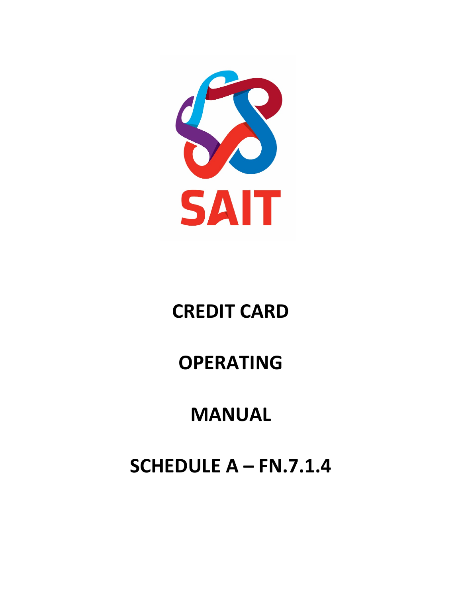

# **CREDIT CARD**

# **OPERATING**

# **MANUAL**

# **SCHEDULE A – FN.7.1.4**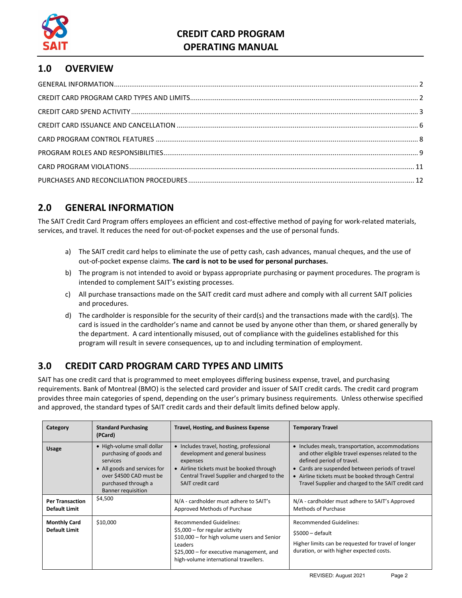

## **1.0 OVERVIEW**

## <span id="page-1-0"></span>**2.0 GENERAL INFORMATION**

The SAIT Credit Card Program offers employees an efficient and cost-effective method of paying for work-related materials, services, and travel. It reduces the need for out-of-pocket expenses and the use of personal funds.

- a) The SAIT credit card helps to eliminate the use of petty cash, cash advances, manual cheques, and the use of out-of-pocket expense claims. **The card is not to be used for personal purchases.**
- b) The program is not intended to avoid or bypass appropriate purchasing or payment procedures. The program is intended to complement SAIT's existing processes.
- c) All purchase transactions made on the SAIT credit card must adhere and comply with all current SAIT policies and procedures.
- d) The cardholder is responsible for the security of their card(s) and the transactions made with the card(s). The card is issued in the cardholder's name and cannot be used by anyone other than them, or shared generally by the department. A card intentionally misused, out of compliance with the guidelines established for this program will result in severe consequences, up to and including termination of employment.

## <span id="page-1-1"></span>**3.0 CREDIT CARD PROGRAM CARD TYPES AND LIMITS**

SAIT has one credit card that is programmed to meet employees differing business expense, travel, and purchasing requirements. Bank of Montreal (BMO) is the selected card provider and issuer of SAIT credit cards. The credit card program provides three main categories of spend, depending on the user's primary business requirements. Unless otherwise specified and approved, the standard types of SAIT credit cards and their default limits defined below apply.

| Category                                    | <b>Standard Purchasing</b><br>(PCard)                                                                                                                                            | <b>Travel, Hosting, and Business Expense</b>                                                                                                                                                                     | <b>Temporary Travel</b>                                                                                                                                                                                                                                                                          |
|---------------------------------------------|----------------------------------------------------------------------------------------------------------------------------------------------------------------------------------|------------------------------------------------------------------------------------------------------------------------------------------------------------------------------------------------------------------|--------------------------------------------------------------------------------------------------------------------------------------------------------------------------------------------------------------------------------------------------------------------------------------------------|
| <b>Usage</b>                                | • High-volume small dollar<br>purchasing of goods and<br>services<br>• All goods and services for<br>over \$4500 CAD must be<br>purchased through a<br><b>Banner requisition</b> | • Includes travel, hosting, professional<br>development and general business<br>expenses<br>• Airline tickets must be booked through<br>Central Travel Supplier and charged to the<br>SAIT credit card           | • Includes meals, transportation, accommodations<br>and other eligible travel expenses related to the<br>defined period of travel.<br>• Cards are suspended between periods of travel<br>• Airline tickets must be booked through Central<br>Travel Supplier and charged to the SAIT credit card |
| <b>Per Transaction</b><br>Default Limit     | \$4,500                                                                                                                                                                          | N/A - cardholder must adhere to SAIT's<br>Approved Methods of Purchase                                                                                                                                           | N/A - cardholder must adhere to SAIT's Approved<br>Methods of Purchase                                                                                                                                                                                                                           |
| <b>Monthly Card</b><br><b>Default Limit</b> | \$10,000                                                                                                                                                                         | <b>Recommended Guidelines:</b><br>$$5,000$ – for regular activity<br>\$10,000 – for high volume users and Senior<br>Leaders<br>\$25,000 – for executive management, and<br>high-volume international travellers. | <b>Recommended Guidelines:</b><br>$$5000 -$ default<br>Higher limits can be requested for travel of longer<br>duration, or with higher expected costs.                                                                                                                                           |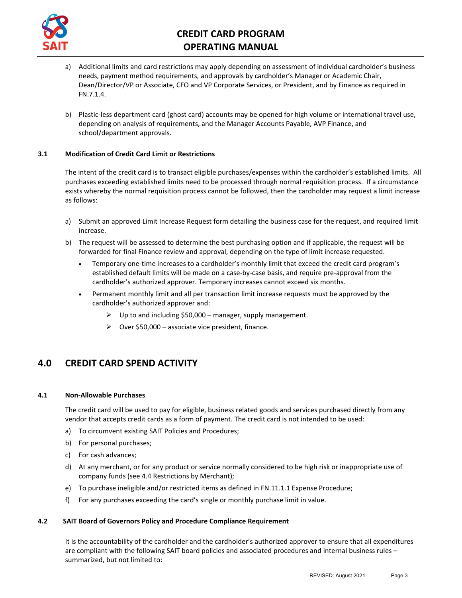

- a) Additional limits and card restrictions may apply depending on assessment of individual cardholder's business needs, payment method requirements, and approvals by cardholder's Manager or Academic Chair, Dean/Director/VP or Associate, CFO and VP Corporate Services, or President, and by Finance as required in FN.7.1.4.
- b) Plastic-less department card (ghost card) accounts may be opened for high volume or international travel use, depending on analysis of requirements, and the Manager Accounts Payable, AVP Finance, and school/department approvals.

#### **3.1 Modification of Credit Card Limit or Restrictions**

The intent of the credit card is to transact eligible purchases/expenses within the cardholder's established limits. All purchases exceeding established limits need to be processed through normal requisition process. If a circumstance exists whereby the normal requisition process cannot be followed, then the cardholder may request a limit increase as follows:

- a) Submit an approved Limit Increase Request form detailing the business case for the request, and required limit increase.
- b) The request will be assessed to determine the best purchasing option and if applicable, the request will be forwarded for final Finance review and approval, depending on the type of limit increase requested.
	- Temporary one-time increases to a cardholder's monthly limit that exceed the credit card program's established default limits will be made on a case-by-case basis, and require pre-approval from the cardholder's authorized approver. Temporary increases cannot exceed six months.
	- Permanent monthly limit and all per transaction limit increase requests must be approved by the cardholder's authorized approver and:
		- $\triangleright$  Up to and including \$50,000 manager, supply management.
		- $\triangleright$  Over \$50,000 associate vice president, finance.

## <span id="page-2-0"></span>**4.0 CREDIT CARD SPEND ACTIVITY**

#### **4.1 Non-Allowable Purchases**

The credit card will be used to pay for eligible, business related goods and services purchased directly from any vendor that accepts credit cards as a form of payment. The credit card is not intended to be used:

- a) To circumvent existing SAIT Policies and Procedures;
- b) For personal purchases;
- c) For cash advances;
- d) At any merchant, or for any product or service normally considered to be high risk or inappropriate use of company funds (see 4.4 Restrictions by Merchant);
- e) To purchase ineligible and/or restricted items as defined in FN.11.1.1 Expense Procedure;
- f) For any purchases exceeding the card's single or monthly purchase limit in value.

#### **4.2 SAIT Board of Governors Policy and Procedure Compliance Requirement**

It is the accountability of the cardholder and the cardholder's authorized approver to ensure that all expenditures are compliant with the following SAIT board policies and associated procedures and internal business rules – summarized, but not limited to: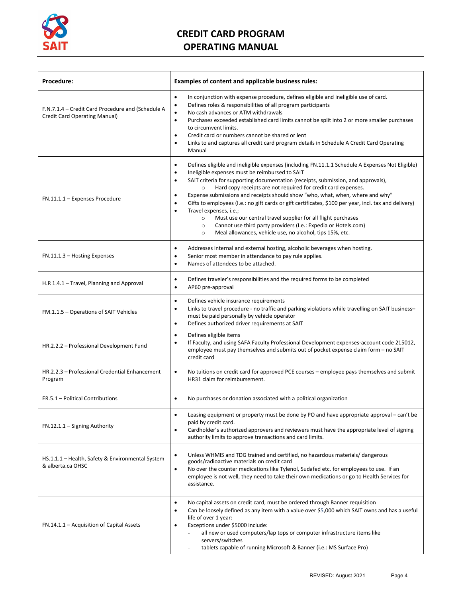

| Procedure:                                                                         | Examples of content and applicable business rules:                                                                                                                                                                                                                                                                                                                                                                                                                                                                                                                                                                                                                                                                                                                                                                         |  |
|------------------------------------------------------------------------------------|----------------------------------------------------------------------------------------------------------------------------------------------------------------------------------------------------------------------------------------------------------------------------------------------------------------------------------------------------------------------------------------------------------------------------------------------------------------------------------------------------------------------------------------------------------------------------------------------------------------------------------------------------------------------------------------------------------------------------------------------------------------------------------------------------------------------------|--|
| F.N.7.1.4 - Credit Card Procedure and (Schedule A<br>Credit Card Operating Manual) | In conjunction with expense procedure, defines eligible and ineligible use of card.<br>$\bullet$<br>Defines roles & responsibilities of all program participants<br>$\bullet$<br>No cash advances or ATM withdrawals<br>$\bullet$<br>Purchases exceeded established card limits cannot be split into 2 or more smaller purchases<br>$\bullet$<br>to circumvent limits.<br>Credit card or numbers cannot be shared or lent<br>$\bullet$<br>Links to and captures all credit card program details in Schedule A Credit Card Operating<br>$\bullet$<br>Manual                                                                                                                                                                                                                                                                 |  |
| FN.11.1.1 - Expenses Procedure                                                     | Defines eligible and ineligible expenses (including FN.11.1.1 Schedule A Expenses Not Eligible)<br>$\bullet$<br>Ineligible expenses must be reimbursed to SAIT<br>$\bullet$<br>SAIT criteria for supporting documentation (receipts, submission, and approvals),<br>$\bullet$<br>Hard copy receipts are not required for credit card expenses.<br>$\circ$<br>Expense submissions and receipts should show "who, what, when, where and why"<br>Gifts to employees (I.e.: no gift cards or gift certificates, \$100 per year, incl. tax and delivery)<br>Travel expenses, i.e.;<br>$\bullet$<br>Must use our central travel supplier for all flight purchases<br>$\circ$<br>Cannot use third party providers (I.e.: Expedia or Hotels.com)<br>$\circ$<br>Meal allowances, vehicle use, no alcohol, tips 15%, etc.<br>$\circ$ |  |
| FN.11.1.3 - Hosting Expenses                                                       | Addresses internal and external hosting, alcoholic beverages when hosting.<br>$\bullet$<br>Senior most member in attendance to pay rule applies.<br>$\bullet$<br>Names of attendees to be attached.<br>$\bullet$                                                                                                                                                                                                                                                                                                                                                                                                                                                                                                                                                                                                           |  |
| H.R 1.4.1 - Travel, Planning and Approval                                          | Defines traveler's responsibilities and the required forms to be completed<br>$\bullet$<br>AP60 pre-approval<br>$\bullet$                                                                                                                                                                                                                                                                                                                                                                                                                                                                                                                                                                                                                                                                                                  |  |
| FM.1.1.5 - Operations of SAIT Vehicles                                             | Defines vehicle insurance requirements<br>$\bullet$<br>Links to travel procedure - no traffic and parking violations while travelling on SAIT business-<br>$\bullet$<br>must be paid personally by vehicle operator<br>Defines authorized driver requirements at SAIT<br>$\bullet$                                                                                                                                                                                                                                                                                                                                                                                                                                                                                                                                         |  |
| HR.2.2.2 - Professional Development Fund                                           | Defines eligible items<br>$\bullet$<br>If Faculty, and using SAFA Faculty Professional Development expenses-account code 215012,<br>$\bullet$<br>employee must pay themselves and submits out of pocket expense claim form - no SAIT<br>credit card                                                                                                                                                                                                                                                                                                                                                                                                                                                                                                                                                                        |  |
| HR.2.2.3 - Professional Credential Enhancement<br>Program                          | No tuitions on credit card for approved PCE courses - employee pays themselves and submit<br>$\bullet$<br>HR31 claim for reimbursement.                                                                                                                                                                                                                                                                                                                                                                                                                                                                                                                                                                                                                                                                                    |  |
| ER.5.1 - Political Contributions                                                   | No purchases or donation associated with a political organization<br>$\bullet$                                                                                                                                                                                                                                                                                                                                                                                                                                                                                                                                                                                                                                                                                                                                             |  |
| FN.12.1.1 - Signing Authority                                                      | Leasing equipment or property must be done by PO and have appropriate approval - can't be<br>$\bullet$<br>paid by credit card.<br>Cardholder's authorized approvers and reviewers must have the appropriate level of signing<br>$\bullet$<br>authority limits to approve transactions and card limits.                                                                                                                                                                                                                                                                                                                                                                                                                                                                                                                     |  |
| HS.1.1.1 - Health, Safety & Environmental System<br>& alberta.ca OHSC              | Unless WHMIS and TDG trained and certified, no hazardous materials/ dangerous<br>$\bullet$<br>goods/radioactive materials on credit card<br>No over the counter medications like Tylenol, Sudafed etc. for employees to use. If an<br>$\bullet$<br>employee is not well, they need to take their own medications or go to Health Services for<br>assistance.                                                                                                                                                                                                                                                                                                                                                                                                                                                               |  |
| FN.14.1.1 – Acquisition of Capital Assets                                          | No capital assets on credit card, must be ordered through Banner requisition<br>$\bullet$<br>Can be loosely defined as any item with a value over \$5,000 which SAIT owns and has a useful<br>$\bullet$<br>life of over 1 year:<br>Exceptions under \$5000 include:<br>all new or used computers/lap tops or computer infrastructure items like<br>servers/switches<br>tablets capable of running Microsoft & Banner (i.e.: MS Surface Pro)                                                                                                                                                                                                                                                                                                                                                                                |  |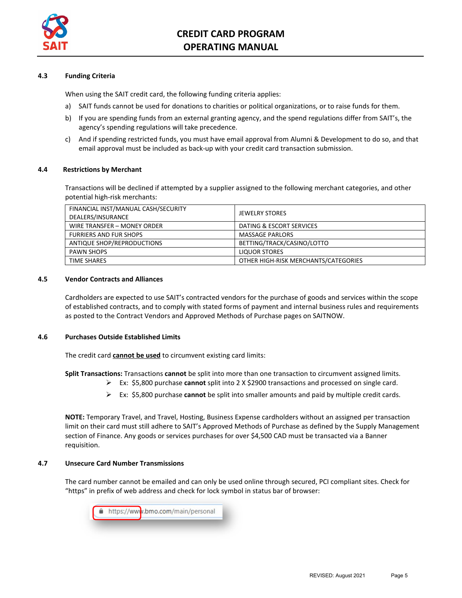

#### **4.3 Funding Criteria**

When using the SAIT credit card, the following funding criteria applies:

- a) SAIT funds cannot be used for donations to charities or political organizations, or to raise funds for them.
- b) If you are spending funds from an external granting agency, and the spend regulations differ from SAIT's, the agency's spending regulations will take precedence.
- c) And if spending restricted funds, you must have email approval from Alumni & Development to do so, and that email approval must be included as back-up with your credit card transaction submission.

#### **4.4 Restrictions by Merchant**

Transactions will be declined if attempted by a supplier assigned to the following merchant categories, and other potential high-risk merchants:

| FINANCIAL INST/MANUAL CASH/SECURITY<br>DEALERS/INSURANCE | <b>JEWELRY STORES</b>                |
|----------------------------------------------------------|--------------------------------------|
| WIRE TRANSFER - MONEY ORDER                              | DATING & ESCORT SERVICES             |
| <b>FURRIERS AND FUR SHOPS</b>                            | <b>MASSAGE PARLORS</b>               |
| ANTIQUE SHOP/REPRODUCTIONS                               | BETTING/TRACK/CASINO/LOTTO           |
| <b>PAWN SHOPS</b>                                        | <b>LIQUOR STORES</b>                 |
| <b>TIME SHARES</b>                                       | OTHER HIGH-RISK MERCHANTS/CATEGORIES |

#### **4.5 Vendor Contracts and Alliances**

Cardholders are expected to use SAIT's contracted vendors for the purchase of goods and services within the scope of established contracts, and to comply with stated forms of payment and internal business rules and requirements as posted to the Contract Vendors and Approved Methods of Purchase pages on SAITNOW.

#### **4.6 Purchases Outside Established Limits**

The credit card **cannot be used** to circumvent existing card limits:

**Split Transactions:** Transactions **cannot** be split into more than one transaction to circumvent assigned limits.

- Ex: \$5,800 purchase **cannot** split into 2 X \$2900 transactions and processed on single card.
- Ex: \$5,800 purchase **cannot** be split into smaller amounts and paid by multiple credit cards.

**NOTE:** Temporary Travel, and Travel, Hosting, Business Expense cardholders without an assigned per transaction limit on their card must still adhere to SAIT's Approved Methods of Purchase as defined by the Supply Management section of Finance. Any goods or services purchases for over \$4,500 CAD must be transacted via a Banner requisition.

#### **4.7 Unsecure Card Number Transmissions**

The card number cannot be emailed and can only be used online through secured, PCI compliant sites. Check for "https" in prefix of web address and check for lock symbol in status bar of browser:

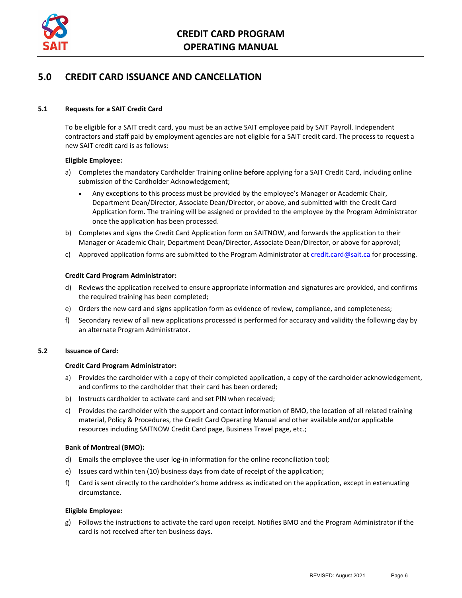

### <span id="page-5-0"></span>**5.0 CREDIT CARD ISSUANCE AND CANCELLATION**

#### **5.1 Requests for a SAIT Credit Card**

To be eligible for a SAIT credit card, you must be an active SAIT employee paid by SAIT Payroll. Independent contractors and staff paid by employment agencies are not eligible for a SAIT credit card. The process to request a new SAIT credit card is as follows:

#### **Eligible Employee:**

- a) Completes the mandatory Cardholder Training online **before** applying for a SAIT Credit Card, including online submission of the Cardholder Acknowledgement;
	- Any exceptions to this process must be provided by the employee's Manager or Academic Chair, Department Dean/Director, Associate Dean/Director, or above, and submitted with the Credit Card Application form. The training will be assigned or provided to the employee by the Program Administrator once the application has been processed.
- b) Completes and signs the Credit Card Application form on SAITNOW, and forwards the application to their Manager or Academic Chair, Department Dean/Director, Associate Dean/Director, or above for approval;
- c) Approved application forms are submitted to the Program Administrator at [credit.card@sait.ca](mailto:credit.card@sait.ca) for processing.

#### **Credit Card Program Administrator:**

- d) Reviews the application received to ensure appropriate information and signatures are provided, and confirms the required training has been completed;
- e) Orders the new card and signs application form as evidence of review, compliance, and completeness;
- f) Secondary review of all new applications processed is performed for accuracy and validity the following day by an alternate Program Administrator.

#### **5.2 Issuance of Card:**

#### **Credit Card Program Administrator:**

- a) Provides the cardholder with a copy of their completed application, a copy of the cardholder acknowledgement, and confirms to the cardholder that their card has been ordered;
- b) Instructs cardholder to activate card and set PIN when received;
- c) Provides the cardholder with the support and contact information of BMO, the location of all related training material, Policy & Procedures, the Credit Card Operating Manual and other available and/or applicable resources including SAITNOW Credit Card page, Business Travel page, etc.;

#### **Bank of Montreal (BMO):**

- d) Emails the employee the user log-in information for the online reconciliation tool;
- e) Issues card within ten (10) business days from date of receipt of the application;
- f) Card is sent directly to the cardholder's home address as indicated on the application, except in extenuating circumstance.

#### **Eligible Employee:**

g) Follows the instructions to activate the card upon receipt. Notifies BMO and the Program Administrator if the card is not received after ten business days.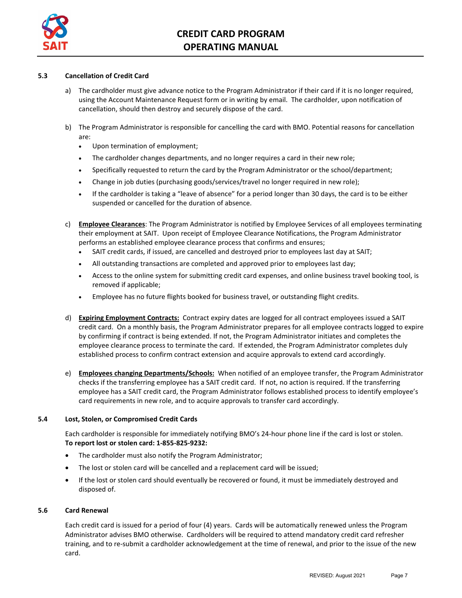

#### **5.3 Cancellation of Credit Card**

- a) The cardholder must give advance notice to the Program Administrator if their card if it is no longer required, using the Account Maintenance Request form or in writing by email. The cardholder, upon notification of cancellation, should then destroy and securely dispose of the card.
- b) The Program Administrator is responsible for cancelling the card with BMO. Potential reasons for cancellation are:
	- Upon termination of employment;
	- The cardholder changes departments, and no longer requires a card in their new role;
	- Specifically requested to return the card by the Program Administrator or the school/department;
	- Change in job duties (purchasing goods/services/travel no longer required in new role);
	- If the cardholder is taking a "leave of absence" for a period longer than 30 days, the card is to be either suspended or cancelled for the duration of absence.
- c) **Employee Clearances**: The Program Administrator is notified by Employee Services of all employees terminating their employment at SAIT. Upon receipt of Employee Clearance Notifications, the Program Administrator performs an established employee clearance process that confirms and ensures;
	- SAIT credit cards, if issued, are cancelled and destroyed prior to employees last day at SAIT;
	- All outstanding transactions are completed and approved prior to employees last day;
	- Access to the online system for submitting credit card expenses, and online business travel booking tool, is removed if applicable;
	- Employee has no future flights booked for business travel, or outstanding flight credits.
- d) **Expiring Employment Contracts:** Contract expiry dates are logged for all contract employees issued a SAIT credit card. On a monthly basis, the Program Administrator prepares for all employee contracts logged to expire by confirming if contract is being extended. If not, the Program Administrator initiates and completes the employee clearance process to terminate the card. If extended, the Program Administrator completes duly established process to confirm contract extension and acquire approvals to extend card accordingly.
- e) **Employees changing Departments/Schools:** When notified of an employee transfer, the Program Administrator checks if the transferring employee has a SAIT credit card. If not, no action is required. If the transferring employee has a SAIT credit card, the Program Administrator follows established process to identify employee's card requirements in new role, and to acquire approvals to transfer card accordingly.

#### **5.4 Lost, Stolen, or Compromised Credit Cards**

Each cardholder is responsible for immediately notifying BMO's 24-hour phone line if the card is lost or stolen. **To report lost or stolen card: 1-855-825-9232:**

- The cardholder must also notify the Program Administrator;
- The lost or stolen card will be cancelled and a replacement card will be issued;
- If the lost or stolen card should eventually be recovered or found, it must be immediately destroyed and disposed of.

#### **5.6 Card Renewal**

Each credit card is issued for a period of four (4) years. Cards will be automatically renewed unless the Program Administrator advises BMO otherwise. Cardholders will be required to attend mandatory credit card refresher training, and to re-submit a cardholder acknowledgement at the time of renewal, and prior to the issue of the new card.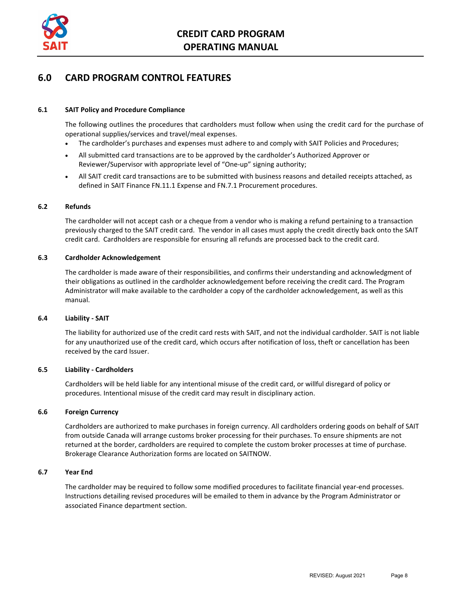

## <span id="page-7-0"></span>**6.0 CARD PROGRAM CONTROL FEATURES**

#### **6.1 SAIT Policy and Procedure Compliance**

The following outlines the procedures that cardholders must follow when using the credit card for the purchase of operational supplies/services and travel/meal expenses.

- The cardholder's purchases and expenses must adhere to and comply with SAIT Policies and Procedures;
- All submitted card transactions are to be approved by the cardholder's Authorized Approver or Reviewer/Supervisor with appropriate level of "One-up" signing authority;
- All SAIT credit card transactions are to be submitted with business reasons and detailed receipts attached, as defined in SAIT Finance FN.11.1 Expense and FN.7.1 Procurement procedures.

#### **6.2 Refunds**

The cardholder will not accept cash or a cheque from a vendor who is making a refund pertaining to a transaction previously charged to the SAIT credit card. The vendor in all cases must apply the credit directly back onto the SAIT credit card. Cardholders are responsible for ensuring all refunds are processed back to the credit card.

#### **6.3 Cardholder Acknowledgement**

The cardholder is made aware of their responsibilities, and confirms their understanding and acknowledgment of their obligations as outlined in the cardholder acknowledgement before receiving the credit card. The Program Administrator will make available to the cardholder a copy of the cardholder acknowledgement, as well as this manual.

#### **6.4 Liability - SAIT**

The liability for authorized use of the credit card rests with SAIT, and not the individual cardholder. SAIT is not liable for any unauthorized use of the credit card, which occurs after notification of loss, theft or cancellation has been received by the card Issuer.

#### **6.5 Liability - Cardholders**

Cardholders will be held liable for any intentional misuse of the credit card, or willful disregard of policy or procedures. Intentional misuse of the credit card may result in disciplinary action.

#### **6.6 Foreign Currency**

Cardholders are authorized to make purchases in foreign currency. All cardholders ordering goods on behalf of SAIT from outside Canada will arrange customs broker processing for their purchases. To ensure shipments are not returned at the border, cardholders are required to complete the custom broker processes at time of purchase. Brokerage Clearance Authorization forms are located on SAITNOW.

#### **6.7 Year End**

The cardholder may be required to follow some modified procedures to facilitate financial year-end processes. Instructions detailing revised procedures will be emailed to them in advance by the Program Administrator or associated Finance department section.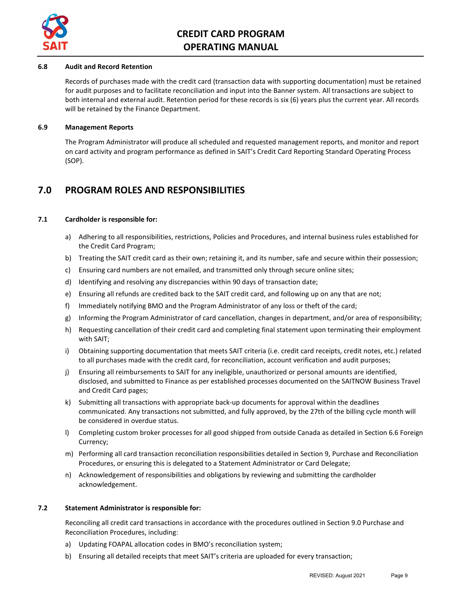

#### **6.8 Audit and Record Retention**

Records of purchases made with the credit card (transaction data with supporting documentation) must be retained for audit purposes and to facilitate reconciliation and input into the Banner system. All transactions are subject to both internal and external audit. Retention period for these records is six (6) years plus the current year. All records will be retained by the Finance Department.

#### **6.9 Management Reports**

The Program Administrator will produce all scheduled and requested management reports, and monitor and report on card activity and program performance as defined in SAIT's Credit Card Reporting Standard Operating Process (SOP).

### <span id="page-8-0"></span>**7.0 PROGRAM ROLES AND RESPONSIBILITIES**

#### **7.1 Cardholder is responsible for:**

- a) Adhering to all responsibilities, restrictions, Policies and Procedures, and internal business rules established for the Credit Card Program;
- b) Treating the SAIT credit card as their own; retaining it, and its number, safe and secure within their possession;
- c) Ensuring card numbers are not emailed, and transmitted only through secure online sites;
- d) Identifying and resolving any discrepancies within 90 days of transaction date;
- e) Ensuring all refunds are credited back to the SAIT credit card, and following up on any that are not;
- f) Immediately notifying BMO and the Program Administrator of any loss or theft of the card;
- g) Informing the Program Administrator of card cancellation, changes in department, and/or area of responsibility;
- h) Requesting cancellation of their credit card and completing final statement upon terminating their employment with SAIT;
- i) Obtaining supporting documentation that meets SAIT criteria (i.e. credit card receipts, credit notes, etc.) related to all purchases made with the credit card, for reconciliation, account verification and audit purposes;
- j) Ensuring all reimbursements to SAIT for any ineligible, unauthorized or personal amounts are identified, disclosed, and submitted to Finance as per established processes documented on the SAITNOW Business Travel and Credit Card pages;
- k) Submitting all transactions with appropriate back-up documents for approval within the deadlines communicated. Any transactions not submitted, and fully approved, by the 27th of the billing cycle month will be considered in overdue status.
- l) Completing custom broker processes for all good shipped from outside Canada as detailed in Section 6.6 Foreign Currency;
- m) Performing all card transaction reconciliation responsibilities detailed in Section 9, Purchase and Reconciliation Procedures, or ensuring this is delegated to a Statement Administrator or Card Delegate;
- n) Acknowledgement of responsibilities and obligations by reviewing and submitting the cardholder acknowledgement.

#### **7.2 Statement Administrator is responsible for:**

Reconciling all credit card transactions in accordance with the procedures outlined in Section 9.0 Purchase and Reconciliation Procedures, including:

- a) Updating FOAPAL allocation codes in BMO's reconciliation system;
- b) Ensuring all detailed receipts that meet SAIT's criteria are uploaded for every transaction;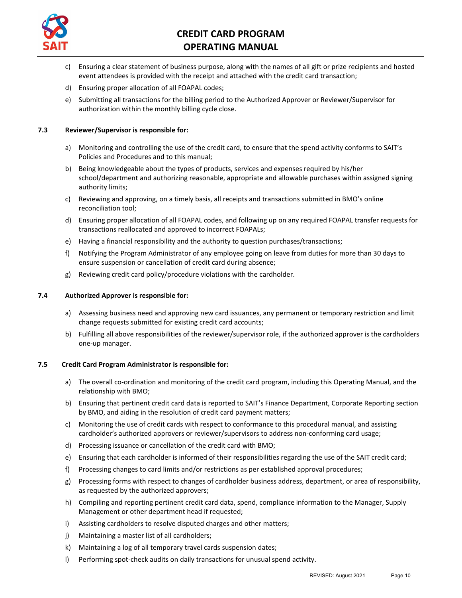

- c) Ensuring a clear statement of business purpose, along with the names of all gift or prize recipients and hosted event attendees is provided with the receipt and attached with the credit card transaction;
- d) Ensuring proper allocation of all FOAPAL codes;
- e) Submitting all transactions for the billing period to the Authorized Approver or Reviewer/Supervisor for authorization within the monthly billing cycle close.

#### **7.3 Reviewer/Supervisor is responsible for:**

- a) Monitoring and controlling the use of the credit card, to ensure that the spend activity conforms to SAIT's Policies and Procedures and to this manual;
- b) Being knowledgeable about the types of products, services and expenses required by his/her school/department and authorizing reasonable, appropriate and allowable purchases within assigned signing authority limits;
- c) Reviewing and approving, on a timely basis, all receipts and transactions submitted in BMO's online reconciliation tool;
- d) Ensuring proper allocation of all FOAPAL codes, and following up on any required FOAPAL transfer requests for transactions reallocated and approved to incorrect FOAPALs;
- e) Having a financial responsibility and the authority to question purchases/transactions;
- f) Notifying the Program Administrator of any employee going on leave from duties for more than 30 days to ensure suspension or cancellation of credit card during absence;
- g) Reviewing credit card policy/procedure violations with the cardholder.

#### **7.4 Authorized Approver is responsible for:**

- a) Assessing business need and approving new card issuances, any permanent or temporary restriction and limit change requests submitted for existing credit card accounts;
- b) Fulfilling all above responsibilities of the reviewer/supervisor role, if the authorized approver is the cardholders one-up manager.

#### **7.5 Credit Card Program Administrator is responsible for:**

- a) The overall co-ordination and monitoring of the credit card program, including this Operating Manual, and the relationship with BMO;
- b) Ensuring that pertinent credit card data is reported to SAIT's Finance Department, Corporate Reporting section by BMO, and aiding in the resolution of credit card payment matters;
- c) Monitoring the use of credit cards with respect to conformance to this procedural manual, and assisting cardholder's authorized approvers or reviewer/supervisors to address non-conforming card usage;
- d) Processing issuance or cancellation of the credit card with BMO;
- e) Ensuring that each cardholder is informed of their responsibilities regarding the use of the SAIT credit card;
- f) Processing changes to card limits and/or restrictions as per established approval procedures;
- g) Processing forms with respect to changes of cardholder business address, department, or area of responsibility, as requested by the authorized approvers;
- h) Compiling and reporting pertinent credit card data, spend, compliance information to the Manager, Supply Management or other department head if requested;
- i) Assisting cardholders to resolve disputed charges and other matters;
- j) Maintaining a master list of all cardholders;
- k) Maintaining a log of all temporary travel cards suspension dates;
- l) Performing spot-check audits on daily transactions for unusual spend activity.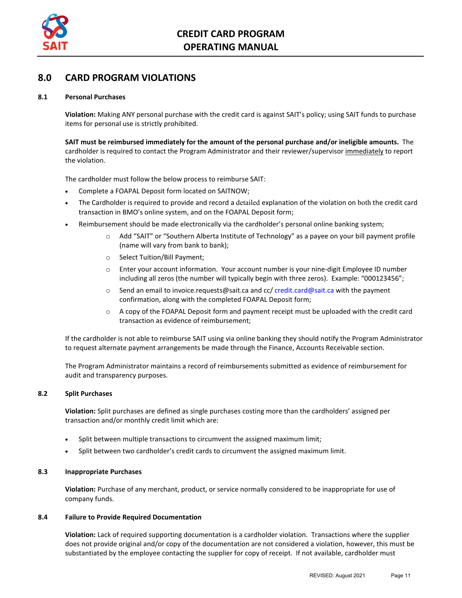

## <span id="page-10-0"></span>**8.0 CARD PROGRAM VIOLATIONS**

#### **8.1 Personal Purchases**

**Violation:** Making ANY personal purchase with the credit card is against SAIT's policy; using SAIT funds to purchase items for personal use is strictly prohibited.

**SAIT must be reimbursed immediately for the amount of the personal purchase and/or ineligible amounts.** The cardholder is required to contact the Program Administrator and their reviewer/supervisor immediately to report the violation.

The cardholder must follow the below process to reimburse SAIT:

- Complete a [FOAPAL](http://www.saitnow.ca/documents/finance/FOAPAL%20Deposit%20FormNov18.10.xlsx) Deposit form located on SAITNOW;
- The Cardholder is required to provide and record a detailed explanation of the violation on both the credit card transaction in BMO's online system, and on the FOAPAL Deposit form;
- Reimbursement should be made electronically via the cardholder's personal online banking system;
	- o Add "SAIT" or "Southern Alberta Institute of Technology" as a payee on your bill payment profile (name will vary from bank to bank);
	- o Select Tuition/Bill Payment;
	- o Enter your account information. Your account number is your nine-digit Employee ID number including all zeros (the number will typically begin with three zeros). Example: "000123456";
	- $\circ$  Send an email to [invoice.requests@sait.ca](mailto:invoice.requests@sait.ca) and cc/ [credit.card@sait.ca](mailto:credit.card@sait.ca?subject=Credit%20Card%20Reimbursment%20Notification) with the payment confirmation, along with the completed FOAPAL Deposit form;
	- o A copy of the FOAPAL Deposit form and payment receipt must be uploaded with the credit card transaction as evidence of reimbursement;

If the cardholder is not able to reimburse SAIT using via online banking they should notify the Program Administrator to request alternate payment arrangements be made through the Finance, Accounts Receivable section.

The Program Administrator maintains a record of reimbursements submitted as evidence of reimbursement for audit and transparency purposes.

#### **8.2 Split Purchases**

**Violation:** Split purchases are defined as single purchases costing more than the cardholders' assigned per transaction and/or monthly credit limit which are:

- Split between multiple transactions to circumvent the assigned maximum limit;
- Split between two cardholder's credit cards to circumvent the assigned maximum limit.

#### **8.3 Inappropriate Purchases**

**Violation:** Purchase of any merchant, product, or service normally considered to be inappropriate for use of company funds.

#### **8.4 Failure to Provide Required Documentation**

**Violation:** Lack of required supporting documentation is a cardholder violation. Transactions where the supplier does not provide original and/or copy of the documentation are not considered a violation, however, this must be substantiated by the employee contacting the supplier for copy of receipt. If not available, cardholder must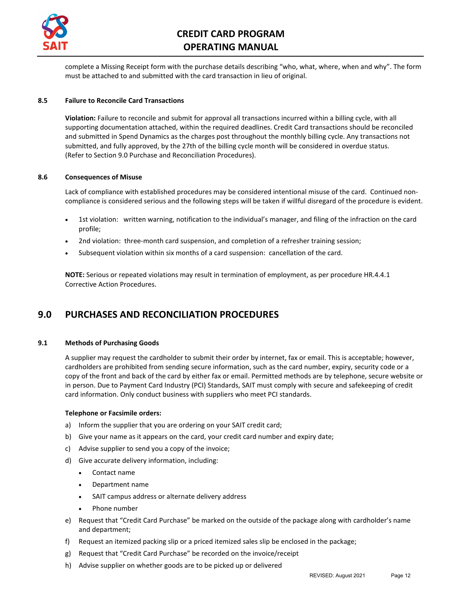

complete a Missing Receipt form with the purchase details describing "who, what, where, when and why". The form must be attached to and submitted with the card transaction in lieu of original.

#### **8.5 Failure to Reconcile Card Transactions**

**Violation:** Failure to reconcile and submit for approval all transactions incurred within a billing cycle, with all supporting documentation attached, within the required deadlines. Credit Card transactions should be reconciled and submitted in Spend Dynamics as the charges post throughout the monthly billing cycle. Any transactions not submitted, and fully approved, by the 27th of the billing cycle month will be considered in overdue status. (Refer to Section 9.0 Purchase and Reconciliation Procedures).

#### **8.6 Consequences of Misuse**

Lack of compliance with established procedures may be considered intentional misuse of the card. Continued noncompliance is considered serious and the following steps will be taken if willful disregard of the procedure is evident.

- 1st violation: written warning, notification to the individual's manager, and filing of the infraction on the card profile;
- 2nd violation: three-month card suspension, and completion of a refresher training session;
- Subsequent violation within six months of a card suspension: cancellation of the card.

**NOTE:** Serious or repeated violations may result in termination of employment, as per procedur[e HR.4.4.1](https://www.sait.ca/Documents/About%20SAIT/Administration/Policies%20and%20Procedures/Human%20Resources/HR.4.4.1%20Corrective%20Action%20Procedures.pdf)  [Corrective Action Procedures.](https://www.sait.ca/Documents/About%20SAIT/Administration/Policies%20and%20Procedures/Human%20Resources/HR.4.4.1%20Corrective%20Action%20Procedures.pdf)

## <span id="page-11-0"></span>**9.0 PURCHASES AND RECONCILIATION PROCEDURES**

#### **9.1 Methods of Purchasing Goods**

A supplier may request the cardholder to submit their order by internet, fax or email. This is acceptable; however, cardholders are prohibited from sending secure information, such as the card number, expiry, security code or a copy of the front and back of the card by either fax or email. Permitted methods are by telephone, secure website or in person. Due to Payment Card Industry (PCI) Standards, SAIT must comply with secure and safekeeping of credit card information. Only conduct business with suppliers who meet PCI standards.

#### **Telephone or Facsimile orders:**

- a) Inform the supplier that you are ordering on your SAIT credit card;
- b) Give your name as it appears on the card, your credit card number and expiry date;
- c) Advise supplier to send you a copy of the invoice;
- d) Give accurate delivery information, including:
	- Contact name
	- Department name
	- SAIT campus address or alternate delivery address
	- Phone number
- e) Request that "Credit Card Purchase" be marked on the outside of the package along with cardholder's name and department;
- f) Request an itemized packing slip or a priced itemized sales slip be enclosed in the package;
- g) Request that "Credit Card Purchase" be recorded on the invoice/receipt
- h) Advise supplier on whether goods are to be picked up or delivered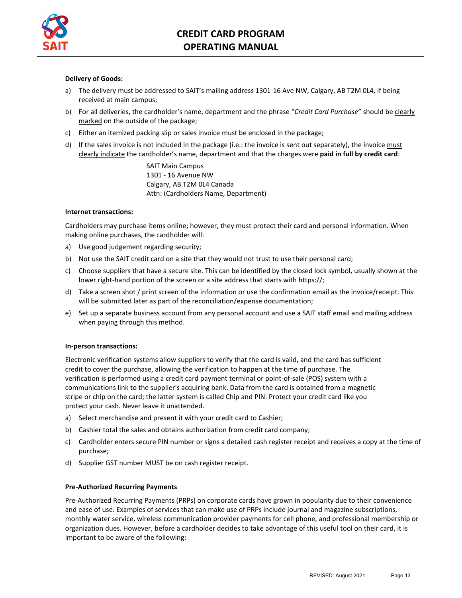

#### **Delivery of Goods:**

- a) The delivery must be addressed to SAIT's mailing address 1301-16 Ave NW, Calgary, AB T2M 0L4, if being received at main campus;
- b) For all deliveries, the cardholder's name, department and the phrase "Credit Card Purchase" should be clearly marked on the outside of the package;
- c) Either an itemized packing slip or sales invoice must be enclosed in the package;
- d) If the sales invoice is not included in the package (i.e.: the invoice is sent out separately), the invoice must clearly indicate the cardholder's name, department and that the charges were **paid in full by credit card**:

SAIT Main Campus 1301 - 16 Avenue NW Calgary, AB T2M 0L4 Canada Attn: (Cardholders Name, Department)

#### **Internet transactions:**

Cardholders may purchase items online; however, they must protect their card and personal information. When making online purchases, the cardholder will:

- a) Use good judgement regarding security;
- b) Not use the SAIT credit card on a site that they would not trust to use their personal card;
- c) Choose suppliers that have a secure site. This can be identified by the closed lock symbol, usually shown at the lower right-hand portion of the screen or a site address that starts with https://;
- d) Take a screen shot / print screen of the information or use the confirmation email as the invoice/receipt. This will be submitted later as part of the reconciliation/expense documentation;
- e) Set up a separate business account from any personal account and use a SAIT staff email and mailing address when paying through this method.

#### **In-person transactions:**

Electronic verification systems allow suppliers to verify that the card is valid, and the card has sufficient credit to cover the purchase, allowing the verification to happen at the time of purchase. The verification is performed using a credit card payment terminal or point-of-sale (POS) system with a communications link to the supplier's acquiring bank. Data from the card is obtained from a magnetic stripe or chip on the card; the latter system is called Chip and PIN. Protect your credit card like you protect your cash. Never leave it unattended.

- a) Select merchandise and present it with your credit card to Cashier;
- b) Cashier total the sales and obtains authorization from credit card company;
- c) Cardholder enters secure PIN number or signs a detailed cash register receipt and receives a copy at the time of purchase;
- d) Supplier GST number MUST be on cash register receipt.

#### **Pre-Authorized Recurring Payments**

Pre-Authorized Recurring Payments (PRPs) on corporate cards have grown in popularity due to their convenience and ease of use. Examples of services that can make use of PRPs include journal and magazine subscriptions, monthly water service, wireless communication provider payments for cell phone, and professional membership or organization dues. However, before a cardholder decides to take advantage of this useful tool on their card, it is important to be aware of the following: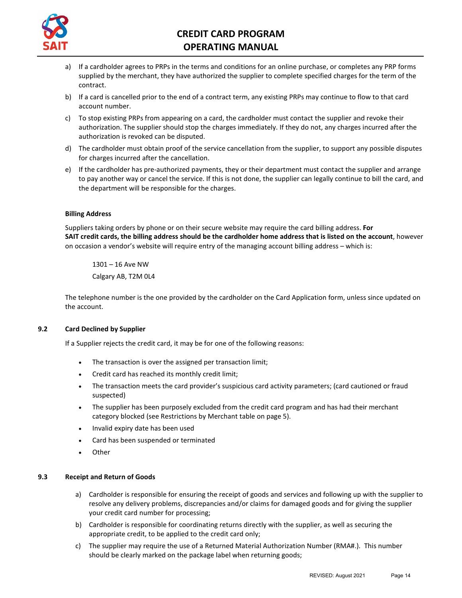

- a) If a cardholder agrees to PRPs in the terms and conditions for an online purchase, or completes any PRP forms supplied by the merchant, they have authorized the supplier to complete specified charges for the term of the contract.
- b) If a card is cancelled prior to the end of a contract term, any existing PRPs may continue to flow to that card account number.
- c) To stop existing PRPs from appearing on a card, the cardholder must contact the supplier and revoke their authorization. The supplier should stop the charges immediately. If they do not, any charges incurred after the authorization is revoked can be disputed.
- d) The cardholder must obtain proof of the service cancellation from the supplier, to support any possible disputes for charges incurred after the cancellation.
- e) If the cardholder has pre-authorized payments, they or their department must contact the supplier and arrange to pay another way or cancel the service. If this is not done, the supplier can legally continue to bill the card, and the department will be responsible for the charges.

#### **Billing Address**

Suppliers taking orders by phone or on their secure website may require the card billing address. **For SAIT credit cards, the billing address should be the cardholder home address that is listed on the account**, however on occasion a vendor's website will require entry of the managing account billing address – which is:

1301 – 16 Ave NW Calgary AB, T2M 0L4

The telephone number is the one provided by the cardholder on the Card Application form, unless since updated on the account.

#### **9.2 Card Declined by Supplier**

If a Supplier rejects the credit card, it may be for one of the following reasons:

- The transaction is over the assigned per transaction limit;
- Credit card has reached its monthly credit limit;
- The transaction meets the card provider's suspicious card activity parameters; (card cautioned or fraud suspected)
- The supplier has been purposely excluded from the credit card program and has had their merchant category blocked (see Restrictions by Merchant table on page 5).
- Invalid expiry date has been used
- Card has been suspended or terminated
- **Other**

#### **9.3 Receipt and Return of Goods**

- a) Cardholder is responsible for ensuring the receipt of goods and services and following up with the supplier to resolve any delivery problems, discrepancies and/or claims for damaged goods and for giving the supplier your credit card number for processing;
- b) Cardholder is responsible for coordinating returns directly with the supplier, as well as securing the appropriate credit, to be applied to the credit card only;
- c) The supplier may require the use of a Returned Material Authorization Number (RMA#.). This number should be clearly marked on the package label when returning goods;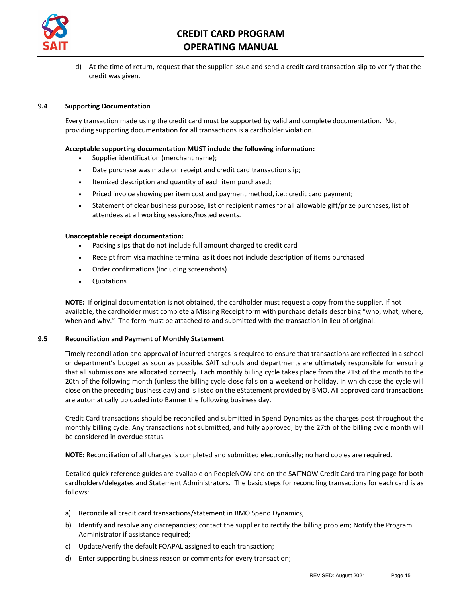

d) At the time of return, request that the supplier issue and send a credit card transaction slip to verify that the credit was given.

#### **9.4 Supporting Documentation**

Every transaction made using the credit card must be supported by valid and complete documentation. Not providing supporting documentation for all transactions is a cardholder violation.

#### **Acceptable supporting documentation MUST include the following information:**

- Supplier identification (merchant name);
- Date purchase was made on receipt and credit card transaction slip;
- Itemized description and quantity of each item purchased;
- Priced invoice showing per item cost and payment method, i.e.: credit card payment;
- Statement of clear business purpose, list of recipient names for all allowable gift/prize purchases, list of attendees at all working sessions/hosted events.

#### **Unacceptable receipt documentation:**

- Packing slips that do not include full amount charged to credit card
- Receipt from visa machine terminal as it does not include description of items purchased
- Order confirmations (including screenshots)
- Quotations

**NOTE:** If original documentation is not obtained, the cardholder must request a copy from the supplier. If not available, the cardholder must complete a Missing Receipt form with purchase details describing "who, what, where, when and why." The form must be attached to and submitted with the transaction in lieu of original.

#### **9.5 Reconciliation and Payment of Monthly Statement**

Timely reconciliation and approval of incurred charges is required to ensure that transactions are reflected in a school or department's budget as soon as possible. SAIT schools and departments are ultimately responsible for ensuring that all submissions are allocated correctly. Each monthly billing cycle takes place from the 21st of the month to the 20th of the following month (unless the billing cycle close falls on a weekend or holiday, in which case the cycle will close on the preceding business day) and is listed on the eStatement provided by BMO. All approved card transactions are automatically uploaded into Banner the following business day.

Credit Card transactions should be reconciled and submitted in Spend Dynamics as the charges post throughout the monthly billing cycle. Any transactions not submitted, and fully approved, by the 27th of the billing cycle month will be considered in overdue status.

**NOTE:** Reconciliation of all charges is completed and submitted electronically; no hard copies are required.

Detailed quick reference guides are available on PeopleNOW and on the SAITNOW Credit Card training page for both cardholders/delegates and Statement Administrators. The basic steps for reconciling transactions for each card is as follows:

- a) Reconcile all credit card transactions/statement in BMO Spend Dynamics;
- b) Identify and resolve any discrepancies; contact the supplier to rectify the billing problem; Notify the Program Administrator if assistance required;
- c) Update/verify the default FOAPAL assigned to each transaction;
- d) Enter supporting business reason or comments for every transaction;